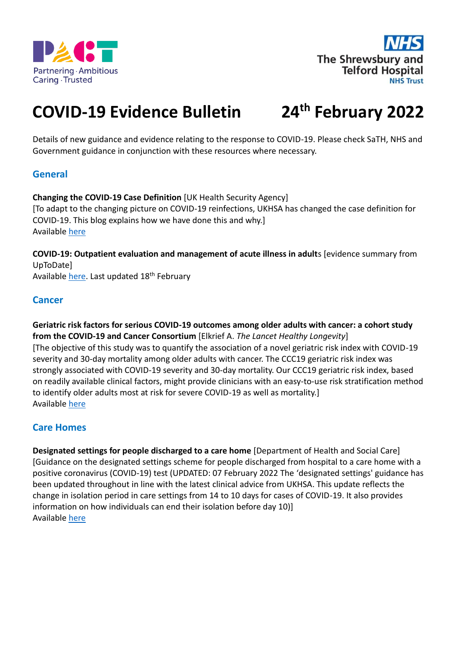



# **COVID-19 Evidence Bulletin 24**

# **th February 2022**

Details of new guidance and evidence relating to the response to COVID-19. Please check SaTH, NHS and Government guidance in conjunction with these resources where necessary.

# **General**

**Changing the COVID-19 Case Definition** [UK Health Security Agency] [To adapt to the changing picture on COVID-19 reinfections, UKHSA has changed the case definition for COVID-19. This blog explains how we have done this and why.] Available [here](https://ukhsa.blog.gov.uk/2022/02/04/changing-the-covid-19-case-definition/)

**COVID-19: Outpatient evaluation and management of acute illness in adult**s [evidence summary from UpToDate] Available [here.](https://www.uptodate.com/contents/covid-19-outpatient-evaluation-and-management-of-acute-illness-in-adults) Last updated 18<sup>th</sup> February

#### **Cancer**

**Geriatric risk factors for serious COVID-19 outcomes among older adults with cancer: a cohort study from the COVID-19 and Cancer Consortium** [Elkrief A. *The Lancet Healthy Longevity*] [The objective of this study was to quantify the association of a novel geriatric risk index with COVID-19 severity and 30-day mortality among older adults with cancer. The CCC19 geriatric risk index was strongly associated with COVID-19 severity and 30-day mortality. Our CCC19 geriatric risk index, based on readily available clinical factors, might provide clinicians with an easy-to-use risk stratification method to identify older adults most at risk for severe COVID-19 as well as mortality.] Available [here](https://www.thelancet.com/journals/lanhl/article/PIIS2666-7568(22)00009-5/fulltext)

# **Care Homes**

**Designated settings for people discharged to a care home** [Department of Health and Social Care] [Guidance on the designated settings scheme for people discharged from hospital to a care home with a positive coronavirus (COVID-19) test (UPDATED: 07 February 2022 The 'designated settings' guidance has been updated throughout in line with the latest clinical advice from UKHSA. This update reflects the change in isolation period in care settings from 14 to 10 days for cases of COVID-19. It also provides information on how individuals can end their isolation before day 10)] Available [here](https://www.gov.uk/government/publications/designated-settings-for-people-discharged-to-a-care-home/)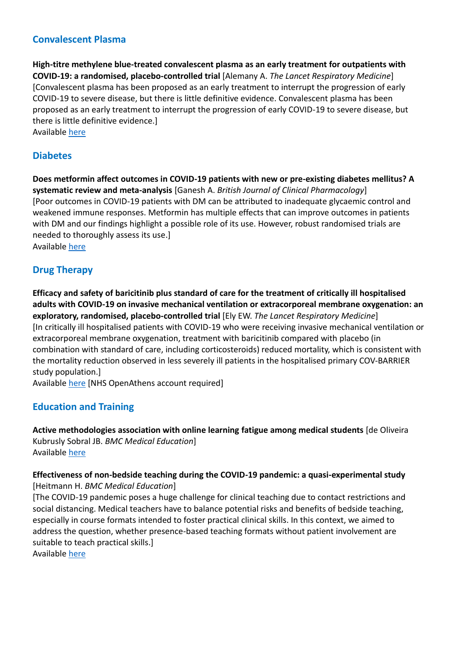### **Convalescent Plasma**

**High-titre methylene blue-treated convalescent plasma as an early treatment for outpatients with COVID-19: a randomised, placebo-controlled trial** [Alemany A. *The Lancet Respiratory Medicine*] [Convalescent plasma has been proposed as an early treatment to interrupt the progression of early COVID-19 to severe disease, but there is little definitive evidence. Convalescent plasma has been proposed as an early treatment to interrupt the progression of early COVID-19 to severe disease, but there is little definitive evidence.] Available [here](https://www.thelancet.com/journals/lanres/article/PIIS2213-2600(21)00545-2/fulltext)

#### **Diabetes**

**Does metformin affect outcomes in COVID-19 patients with new or pre-existing diabetes mellitus? A systematic review and meta-analysis** [Ganesh A. *British Journal of Clinical Pharmacology*] [Poor outcomes in COVID-19 patients with DM can be attributed to inadequate glycaemic control and weakened immune responses. Metformin has multiple effects that can improve outcomes in patients with DM and our findings highlight a possible role of its use. However, robust randomised trials are needed to thoroughly assess its use.] Available [here](https://bpspubs.onlinelibrary.wiley.com/doi/10.1111/bcp.15258)

# **Drug Therapy**

**Efficacy and safety of baricitinib plus standard of care for the treatment of critically ill hospitalised adults with COVID-19 on invasive mechanical ventilation or extracorporeal membrane oxygenation: an exploratory, randomised, placebo-controlled trial** [Ely EW. *The Lancet Respiratory Medicine*] [In critically ill hospitalised patients with COVID-19 who were receiving invasive mechanical ventilation or extracorporeal membrane oxygenation, treatment with baricitinib compared with placebo (in combination with standard of care, including corticosteroids) reduced mortality, which is consistent with the mortality reduction observed in less severely ill patients in the hospitalised primary COV-BARRIER study population.]

Available [here](https://www.thelancet.com/journals/lanres/article/PIIS2213-2600(22)00006-6/fulltext) [NHS OpenAthens account required]

#### **Education and Training**

**Active methodologies association with online learning fatigue among medical students** [de Oliveira Kubrusly Sobral JB. *BMC Medical Education*] Available [here](https://bmcmededuc.biomedcentral.com/articles/10.1186/s12909-022-03143-x)

#### **Effectiveness of non-bedside teaching during the COVID-19 pandemic: a quasi-experimental study**  [Heitmann H. *BMC Medical Education*]

[The COVID-19 pandemic poses a huge challenge for clinical teaching due to contact restrictions and social distancing. Medical teachers have to balance potential risks and benefits of bedside teaching, especially in course formats intended to foster practical clinical skills. In this context, we aimed to address the question, whether presence-based teaching formats without patient involvement are suitable to teach practical skills.]

Available [here](https://bmcmededuc.biomedcentral.com/articles/10.1186/s12909-022-03141-z)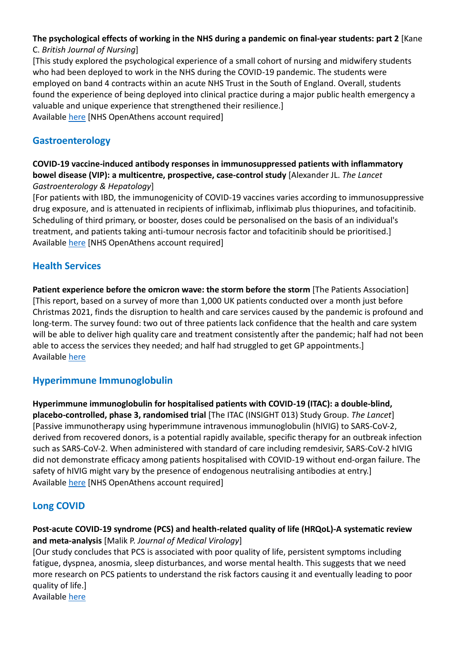# **The psychological effects of working in the NHS during a pandemic on final-year students: part 2** [Kane

#### C. *British Journal of Nursing*]

[This study explored the psychological experience of a small cohort of nursing and midwifery students who had been deployed to work in the NHS during the COVID-19 pandemic. The students were employed on band 4 contracts within an acute NHS Trust in the South of England. Overall, students found the experience of being deployed into clinical practice during a major public health emergency a valuable and unique experience that strengthened their resilience.] Available [here](https://search.ebscohost.com/login.aspx?direct=true&AuthType=sso&db=rzh&AN=154942871&custid=ns124597) [NHS OpenAthens account required]

# **Gastroenterology**

#### **COVID-19 vaccine-induced antibody responses in immunosuppressed patients with inflammatory bowel disease (VIP): a multicentre, prospective, case-control study** [Alexander JL. *The Lancet Gastroenterology & Hepatology*]

[For patients with IBD, the immunogenicity of COVID-19 vaccines varies according to immunosuppressive drug exposure, and is attenuated in recipients of infliximab, infliximab plus thiopurines, and tofacitinib. Scheduling of third primary, or booster, doses could be personalised on the basis of an individual's treatment, and patients taking anti-tumour necrosis factor and tofacitinib should be prioritised.] Available [here](https://www.thelancet.com/journals/langas/article/PIIS2468-1253(22)00005-X/fulltext) [NHS OpenAthens account required]

# **Health Services**

Patient experience before the omicron wave: the storm before the storm [The Patients Association] [This report, based on a survey of more than 1,000 UK patients conducted over a month just before Christmas 2021, finds the disruption to health and care services caused by the pandemic is profound and long-term. The survey found: two out of three patients lack confidence that the health and care system will be able to deliver high quality care and treatment consistently after the pandemic; half had not been able to access the services they needed; and half had struggled to get GP appointments.] Available [here](https://www.patients-association.org.uk/Blog/patient-experience-before-the-omicron-wave-the-storm-before-the-storm)

# **Hyperimmune Immunoglobulin**

**Hyperimmune immunoglobulin for hospitalised patients with COVID-19 (ITAC): a double-blind, placebo-controlled, phase 3, randomised trial** [The ITAC (INSIGHT 013) Study Group. *The Lancet*] [Passive immunotherapy using hyperimmune intravenous immunoglobulin (hIVIG) to SARS-CoV-2, derived from recovered donors, is a potential rapidly available, specific therapy for an outbreak infection such as SARS-CoV-2. When administered with standard of care including remdesivir, SARS-CoV-2 hIVIG did not demonstrate efficacy among patients hospitalised with COVID-19 without end-organ failure. The safety of hIVIG might vary by the presence of endogenous neutralising antibodies at entry.] Available [here](https://www.thelancet.com/journals/lancet/article/PIIS0140-6736(22)00101-5/fulltext) [NHS OpenAthens account required]

# **Long COVID**

#### **Post-acute COVID-19 syndrome (PCS) and health-related quality of life (HRQoL)-A systematic review and meta-analysis** [Malik P. *Journal of Medical Virology*]

[Our study concludes that PCS is associated with poor quality of life, persistent symptoms including fatigue, dyspnea, anosmia, sleep disturbances, and worse mental health. This suggests that we need more research on PCS patients to understand the risk factors causing it and eventually leading to poor quality of life.] Available [here](https://libkey.io/libraries/1791/articles/497829897/full-text-file?utm_source=nomad)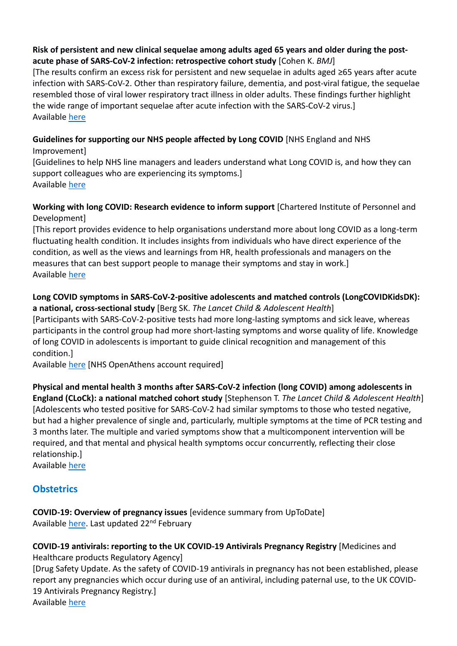#### **Risk of persistent and new clinical sequelae among adults aged 65 years and older during the postacute phase of SARS-CoV-2 infection: retrospective cohort study** [Cohen K. *BMJ*]

[The results confirm an excess risk for persistent and new sequelae in adults aged ≥65 years after acute infection with SARS-CoV-2. Other than respiratory failure, dementia, and post-viral fatigue, the sequelae resembled those of viral lower respiratory tract illness in older adults. These findings further highlight the wide range of important sequelae after acute infection with the SARS-CoV-2 virus.] Available [here](https://www.bmj.com/content/bmj/376/bmj-2021-068414.full.pdf)

# **Guidelines for supporting our NHS people affected by Long COVID** [NHS England and NHS

Improvement] [Guidelines to help NHS line managers and leaders understand what Long COVID is, and how they can support colleagues who are experiencing its symptoms.] Available [here](https://www.england.nhs.uk/publication/guidelines-for-supporting-our-nhs-people-affected-by-long-covid/)

#### **Working with long COVID: Research evidence to inform support** [Chartered Institute of Personnel and Development]

[This report provides evidence to help organisations understand more about long COVID as a long-term fluctuating health condition. It includes insights from individuals who have direct experience of the condition, as well as the views and learnings from HR, health professionals and managers on the measures that can best support people to manage their symptoms and stay in work.] Available [here](https://www.cipd.co.uk/knowledge/fundamentals/relations/absence/long-covid-report)

#### **Long COVID symptoms in SARS-CoV-2-positive adolescents and matched controls (LongCOVIDKidsDK): a national, cross-sectional study** [Berg SK. *The Lancet Child & Adolescent Health*]

[Participants with SARS-CoV-2-positive tests had more long-lasting symptoms and sick leave, whereas participants in the control group had more short-lasting symptoms and worse quality of life. Knowledge of long COVID in adolescents is important to guide clinical recognition and management of this condition.]

Available [here](https://www.thelancet.com/journals/lanchi/article/PIIS2352-4642(22)00004-9/fulltext) [NHS OpenAthens account required]

# **Physical and mental health 3 months after SARS-CoV-2 infection (long COVID) among adolescents in**

**England (CLoCk): a national matched cohort study** [Stephenson T. *The Lancet Child & Adolescent Health*] [Adolescents who tested positive for SARS-CoV-2 had similar symptoms to those who tested negative, but had a higher prevalence of single and, particularly, multiple symptoms at the time of PCR testing and 3 months later. The multiple and varied symptoms show that a multicomponent intervention will be required, and that mental and physical health symptoms occur concurrently, reflecting their close relationship.]

Available [here](https://www.thelancet.com/journals/lanchi/article/PIIS2352-4642(22)00022-0/fulltext)

# **Obstetrics**

#### **COVID-19: Overview of pregnancy issues** [evidence summary from UpToDate] Available [here.](https://www.uptodate.com/contents/covid-19-overview-of-pregnancy-issues) Last updated 22<sup>nd</sup> February

# **COVID-19 antivirals: reporting to the UK COVID-19 Antivirals Pregnancy Registry** [Medicines and Healthcare products Regulatory Agency]

[Drug Safety Update. As the safety of COVID-19 antivirals in pregnancy has not been established, please report any pregnancies which occur during use of an antiviral, including paternal use, to the UK COVID-19 Antivirals Pregnancy Registry.] Available [here](https://www.gov.uk/drug-safety-update/covid-19-antivirals-reporting-to-the-uk-covid-19-antivirals-pregnancy-registry)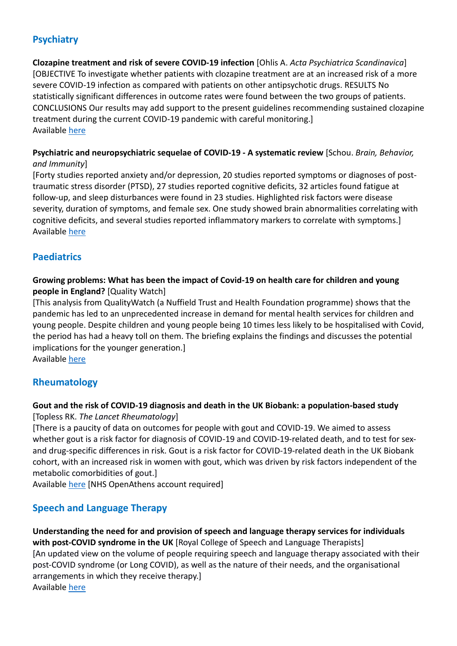# **Psychiatry**

**Clozapine treatment and risk of severe COVID-19 infection** [Ohlis A. *Acta Psychiatrica Scandinavica*] [OBJECTIVE To investigate whether patients with clozapine treatment are at an increased risk of a more severe COVID-19 infection as compared with patients on other antipsychotic drugs. RESULTS No statistically significant differences in outcome rates were found between the two groups of patients. CONCLUSIONS Our results may add support to the present guidelines recommending sustained clozapine treatment during the current COVID-19 pandemic with careful monitoring.] Available [here](https://onlinelibrary.wiley.com/doi/epdf/10.1111/acps.13379)

#### **Psychiatric and neuropsychiatric sequelae of COVID-19 - A systematic review** [Schou. *Brain, Behavior, and Immunity*]

[Forty studies reported anxiety and/or depression, 20 studies reported symptoms or diagnoses of posttraumatic stress disorder (PTSD), 27 studies reported cognitive deficits, 32 articles found fatigue at follow-up, and sleep disturbances were found in 23 studies. Highlighted risk factors were disease severity, duration of symptoms, and female sex. One study showed brain abnormalities correlating with cognitive deficits, and several studies reported inflammatory markers to correlate with symptoms.] Available [here](https://www.sciencedirect.com/science/article/pii/S0889159121002816)

#### **Paediatrics**

#### **Growing problems: What has been the impact of Covid-19 on health care for children and young people in England?** [Quality Watch]

[This analysis from QualityWatch (a Nuffield Trust and Health Foundation programme) shows that the pandemic has led to an unprecedented increase in demand for mental health services for children and young people. Despite children and young people being 10 times less likely to be hospitalised with Covid, the period has had a heavy toll on them. The briefing explains the findings and discusses the potential implications for the younger generation.]

Available [here](https://www.nuffieldtrust.org.uk/public/files/2022-01/growing-problems/)

# **Rheumatology**

#### **Gout and the risk of COVID-19 diagnosis and death in the UK Biobank: a population-based study**

[Topless RK. *The Lancet Rheumatology*]

[There is a paucity of data on outcomes for people with gout and COVID-19. We aimed to assess whether gout is a risk factor for diagnosis of COVID-19 and COVID-19-related death, and to test for sexand drug-specific differences in risk. Gout is a risk factor for COVID-19-related death in the UK Biobank cohort, with an increased risk in women with gout, which was driven by risk factors independent of the metabolic comorbidities of gout.]

Available [here](https://www.thelancet.com/journals/lanrhe/article/PIIS2665-9913(21)00401-X/fulltext) [NHS OpenAthens account required]

# **Speech and Language Therapy**

**Understanding the need for and provision of speech and language therapy services for individuals with post-COVID syndrome in the UK** [Royal College of Speech and Language Therapists] [An updated view on the volume of people requiring speech and language therapy associated with their post-COVID syndrome (or Long COVID), as well as the nature of their needs, and the organisational arrangements in which they receive therapy.] Available [here](https://www.rcslt.org/news/long-covid-and-sustained-impact-reports/)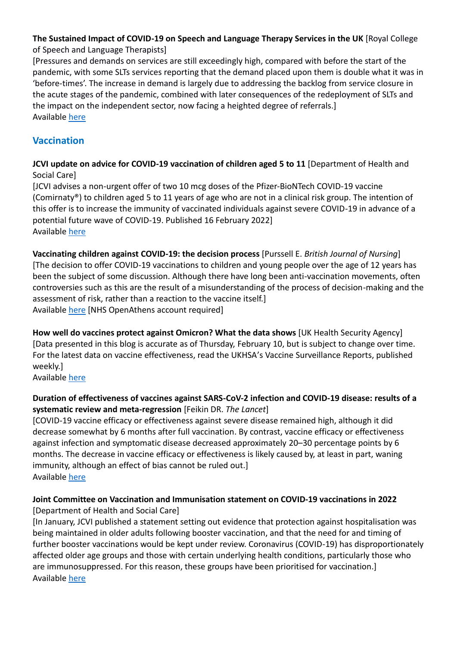#### **The Sustained Impact of COVID-19 on Speech and Language Therapy Services in the UK** [Royal College of Speech and Language Therapists]

[Pressures and demands on services are still exceedingly high, compared with before the start of the pandemic, with some SLTs services reporting that the demand placed upon them is double what it was in 'before-times'. The increase in demand is largely due to addressing the backlog from service closure in the acute stages of the pandemic, combined with later consequences of the redeployment of SLTs and the impact on the independent sector, now facing a heighted degree of referrals.] Available [here](https://www.rcslt.org/news/long-covid-and-sustained-impact-reports/)

# **Vaccination**

**JCVI update on advice for COVID-19 vaccination of children aged 5 to 11** [Department of Health and Social Care]

[JCVI advises a non-urgent offer of two 10 mcg doses of the Pfizer-BioNTech COVID-19 vaccine (Comirnaty®) to children aged 5 to 11 years of age who are not in a clinical risk group. The intention of this offer is to increase the immunity of vaccinated individuals against severe COVID-19 in advance of a potential future wave of COVID-19. Published 16 February 2022] Available [here](https://www.gov.uk/government/publications/jcvi-update-on-advice-for-covid-19-vaccination-of-children-aged-5-to-11/)

**Vaccinating children against COVID-19: the decision process** [Purssell E. *British Journal of Nursing*] [The decision to offer COVID-19 vaccinations to children and young people over the age of 12 years has been the subject of some discussion. Although there have long been anti-vaccination movements, often controversies such as this are the result of a misunderstanding of the process of decision-making and the assessment of risk, rather than a reaction to the vaccine itself.] Available [here](https://search.ebscohost.com/login.aspx?direct=true&AuthType=sso&db=rzh&AN=155187124&custid=ns124597) [NHS OpenAthens account required]

**How well do vaccines protect against Omicron? What the data shows** [UK Health Security Agency] [Data presented in this blog is accurate as of Thursday, February 10, but is subject to change over time. For the latest data on vaccine effectiveness, read the UKHSA's Vaccine Surveillance Reports, published weekly.]

Available [here](https://ukhsa.blog.gov.uk/2022/02/10/how-well-do-vaccines-protect-against-omicron-what-the-data-shows/)

#### **Duration of effectiveness of vaccines against SARS-CoV-2 infection and COVID-19 disease: results of a systematic review and meta-regression** [Feikin DR. *The Lancet*]

[COVID-19 vaccine efficacy or effectiveness against severe disease remained high, although it did decrease somewhat by 6 months after full vaccination. By contrast, vaccine efficacy or effectiveness against infection and symptomatic disease decreased approximately 20–30 percentage points by 6 months. The decrease in vaccine efficacy or effectiveness is likely caused by, at least in part, waning immunity, although an effect of bias cannot be ruled out.] Available [here](https://www.thelancet.com/journals/lancet/article/PIIS0140-6736(22)00152-0/fulltext)

#### **Joint Committee on Vaccination and Immunisation statement on COVID-19 vaccinations in 2022**  [Department of Health and Social Care]

[In January, JCVI published a statement setting out evidence that protection against hospitalisation was being maintained in older adults following booster vaccination, and that the need for and timing of further booster vaccinations would be kept under review. Coronavirus (COVID-19) has disproportionately affected older age groups and those with certain underlying health conditions, particularly those who are immunosuppressed. For this reason, these groups have been prioritised for vaccination.] Available [here](https://www.gov.uk/government/publications/joint-committee-on-vaccination-and-immunisation-statement-on-covid-19-vaccinations-in-2022/)